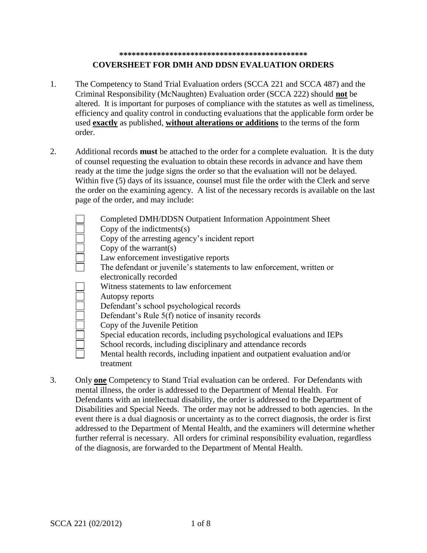## **\*\*\*\*\*\*\*\*\*\*\*\*\*\*\*\*\*\*\*\*\*\*\*\*\*\*\*\*\*\*\*\*\*\*\*\*\*\*\*\*\*\*\*\*\* COVERSHEET FOR DMH AND DDSN EVALUATION ORDERS**

- 1. The Competency to Stand Trial Evaluation orders (SCCA 221 and SCCA 487) and the Criminal Responsibility (McNaughten) Evaluation order (SCCA 222) should **not** be altered. It is important for purposes of compliance with the statutes as well as timeliness, efficiency and quality control in conducting evaluations that the applicable form order be used **exactly** as published, **without alterations or additions** to the terms of the form order.
- 2. Additional records **must** be attached to the order for a complete evaluation. It is the duty of counsel requesting the evaluation to obtain these records in advance and have them ready at the time the judge signs the order so that the evaluation will not be delayed. Within five (5) days of its issuance, counsel must file the order with the Clerk and serve the order on the examining agency. A list of the necessary records is available on the last page of the order, and may include:
	- Completed DMH/DDSN Outpatient Information Appointment Sheet Copy of the indictments(s) Copy of the arresting agency's incident report Copy of the warrant(s) Law enforcement investigative reports The defendant or juvenile's statements to law enforcement, written or electronically recorded Witness statements to law enforcement Autopsy reports Defendant's school psychological records Defendant's Rule 5(f) notice of insanity records Copy of the Juvenile Petition Special education records, including psychological evaluations and IEPs School records, including disciplinary and attendance records Mental health records, including inpatient and outpatient evaluation and/or treatment
- 3. Only **one** Competency to Stand Trial evaluation can be ordered. For Defendants with mental illness, the order is addressed to the Department of Mental Health. For Defendants with an intellectual disability, the order is addressed to the Department of Disabilities and Special Needs. The order may not be addressed to both agencies. In the event there is a dual diagnosis or uncertainty as to the correct diagnosis, the order is first addressed to the Department of Mental Health, and the examiners will determine whether further referral is necessary. All orders for criminal responsibility evaluation, regardless of the diagnosis, are forwarded to the Department of Mental Health.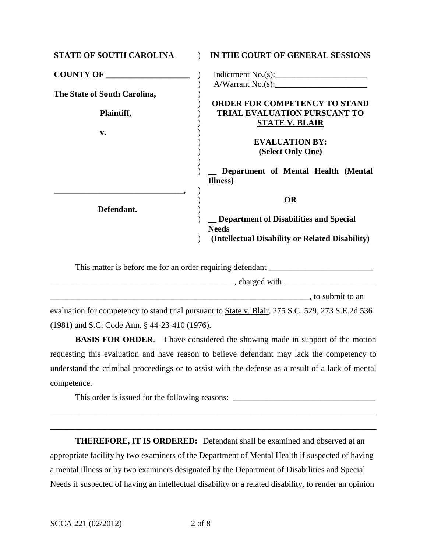| <b>STATE OF SOUTH CAROLINA</b> | IN THE COURT OF GENERAL SESSIONS                                                                                       |
|--------------------------------|------------------------------------------------------------------------------------------------------------------------|
| <b>COUNTY OF</b>               | Indictment $No.(s):$                                                                                                   |
| The State of South Carolina,   | A/Warrant No.(s):<br><b>ORDER FOR COMPETENCY TO STAND</b>                                                              |
| Plaintiff,                     | <b>TRIAL EVALUATION PURSUANT TO</b><br><b>STATE V. BLAIR</b>                                                           |
| $\mathbf{v}$ .                 | <b>EVALUATION BY:</b><br>(Select Only One)                                                                             |
|                                | Department of Mental Health (Mental<br>Illness)                                                                        |
| Defendant.                     | <b>OR</b><br>Department of Disabilities and Special<br><b>Needs</b><br>(Intellectual Disability or Related Disability) |
|                                |                                                                                                                        |

| This matter is before me for an order requiring defendant |                 |
|-----------------------------------------------------------|-----------------|
| , charged with                                            |                 |
|                                                           | to submit to an |

evaluation for competency to stand trial pursuant to **State v. Blair**, 275 S.C. 529, 273 S.E.2d 536 (1981) and S.C. Code Ann. § 44-23-410 (1976).

**BASIS FOR ORDER.** I have considered the showing made in support of the motion requesting this evaluation and have reason to believe defendant may lack the competency to understand the criminal proceedings or to assist with the defense as a result of a lack of mental competence.

\_\_\_\_\_\_\_\_\_\_\_\_\_\_\_\_\_\_\_\_\_\_\_\_\_\_\_\_\_\_\_\_\_\_\_\_\_\_\_\_\_\_\_\_\_\_\_\_\_\_\_\_\_\_\_\_\_\_\_\_\_\_\_\_\_\_\_\_\_\_\_\_\_\_\_\_\_\_

\_\_\_\_\_\_\_\_\_\_\_\_\_\_\_\_\_\_\_\_\_\_\_\_\_\_\_\_\_\_\_\_\_\_\_\_\_\_\_\_\_\_\_\_\_\_\_\_\_\_\_\_\_\_\_\_\_\_\_\_\_\_\_\_\_\_\_\_\_\_\_\_\_\_\_\_\_\_

This order is issued for the following reasons: \_\_\_\_\_\_\_\_\_\_\_\_\_\_\_\_\_\_\_\_\_\_\_\_\_\_\_\_\_\_\_\_\_

**THEREFORE, IT IS ORDERED:** Defendant shall be examined and observed at an appropriate facility by two examiners of the Department of Mental Health if suspected of having a mental illness or by two examiners designated by the Department of Disabilities and Special Needs if suspected of having an intellectual disability or a related disability, to render an opinion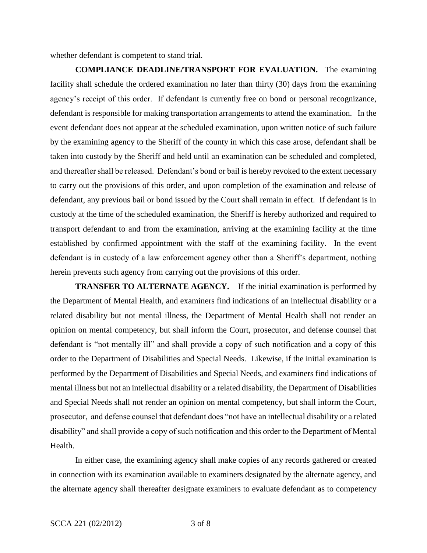whether defendant is competent to stand trial.

**COMPLIANCE DEADLINE/TRANSPORT FOR EVALUATION.** The examining facility shall schedule the ordered examination no later than thirty (30) days from the examining agency's receipt of this order. If defendant is currently free on bond or personal recognizance, defendant is responsible for making transportation arrangements to attend the examination. In the event defendant does not appear at the scheduled examination, upon written notice of such failure by the examining agency to the Sheriff of the county in which this case arose, defendant shall be taken into custody by the Sheriff and held until an examination can be scheduled and completed, and thereafter shall be released. Defendant's bond or bail is hereby revoked to the extent necessary to carry out the provisions of this order, and upon completion of the examination and release of defendant, any previous bail or bond issued by the Court shall remain in effect. If defendant is in custody at the time of the scheduled examination, the Sheriff is hereby authorized and required to transport defendant to and from the examination, arriving at the examining facility at the time established by confirmed appointment with the staff of the examining facility. In the event defendant is in custody of a law enforcement agency other than a Sheriff's department, nothing herein prevents such agency from carrying out the provisions of this order.

**TRANSFER TO ALTERNATE AGENCY.** If the initial examination is performed by the Department of Mental Health, and examiners find indications of an intellectual disability or a related disability but not mental illness, the Department of Mental Health shall not render an opinion on mental competency, but shall inform the Court, prosecutor, and defense counsel that defendant is "not mentally ill" and shall provide a copy of such notification and a copy of this order to the Department of Disabilities and Special Needs.Likewise, if the initial examination is performed by the Department of Disabilities and Special Needs, and examiners find indications of mental illness but not an intellectual disability or a related disability, the Department of Disabilities and Special Needs shall not render an opinion on mental competency, but shall inform the Court, prosecutor, and defense counsel that defendant does "not have an intellectual disability or a related disability" and shall provide a copy of such notification and this order to the Department of Mental Health.

In either case, the examining agency shall make copies of any records gathered or created in connection with its examination available to examiners designated by the alternate agency, and the alternate agency shall thereafter designate examiners to evaluate defendant as to competency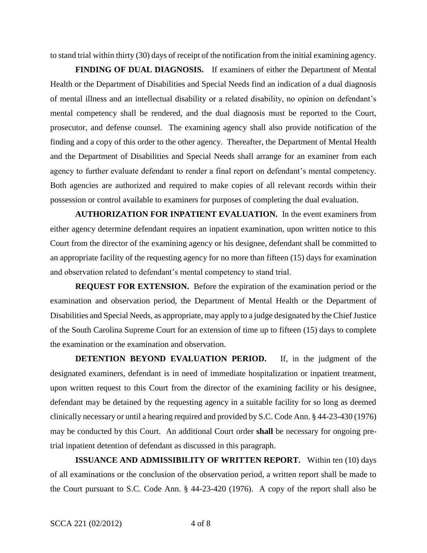to stand trial within thirty (30) days of receipt of the notification from the initial examining agency.

**FINDING OF DUAL DIAGNOSIS.** If examiners of either the Department of Mental Health or the Department of Disabilities and Special Needs find an indication of a dual diagnosis of mental illness and an intellectual disability or a related disability, no opinion on defendant's mental competency shall be rendered, and the dual diagnosis must be reported to the Court, prosecutor, and defense counsel. The examining agency shall also provide notification of the finding and a copy of this order to the other agency. Thereafter, the Department of Mental Health and the Department of Disabilities and Special Needs shall arrange for an examiner from each agency to further evaluate defendant to render a final report on defendant's mental competency. Both agencies are authorized and required to make copies of all relevant records within their possession or control available to examiners for purposes of completing the dual evaluation.

**AUTHORIZATION FOR INPATIENT EVALUATION.** In the event examiners from either agency determine defendant requires an inpatient examination, upon written notice to this Court from the director of the examining agency or his designee, defendant shall be committed to an appropriate facility of the requesting agency for no more than fifteen (15) days for examination and observation related to defendant's mental competency to stand trial.

**REQUEST FOR EXTENSION.** Before the expiration of the examination period or the examination and observation period, the Department of Mental Health or the Department of Disabilities and Special Needs, as appropriate, may apply to a judge designated by the Chief Justice of the South Carolina Supreme Court for an extension of time up to fifteen (15) days to complete the examination or the examination and observation.

**DETENTION BEYOND EVALUATION PERIOD.** If, in the judgment of the designated examiners, defendant is in need of immediate hospitalization or inpatient treatment, upon written request to this Court from the director of the examining facility or his designee, defendant may be detained by the requesting agency in a suitable facility for so long as deemed clinically necessary or until a hearing required and provided by S.C. Code Ann. § 44-23-430 (1976) may be conducted by this Court.An additional Court order **shall** be necessary for ongoing pretrial inpatient detention of defendant as discussed in this paragraph.

**ISSUANCE AND ADMISSIBILITY OF WRITTEN REPORT.** Within ten (10) days of all examinations or the conclusion of the observation period, a written report shall be made to the Court pursuant to S.C. Code Ann. § 44-23-420 (1976). A copy of the report shall also be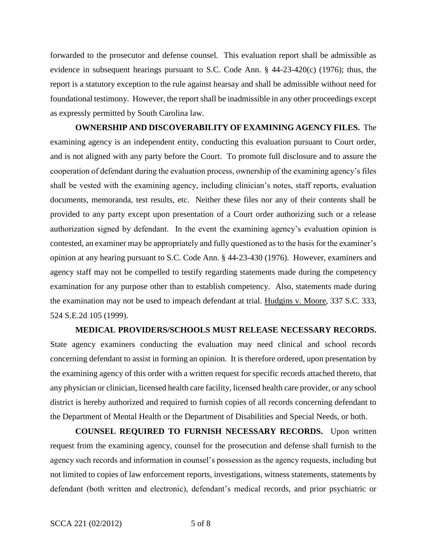forwarded to the prosecutor and defense counsel. This evaluation report shall be admissible as evidence in subsequent hearings pursuant to S.C. Code Ann. § 44-23-420(c) (1976); thus, the report is a statutory exception to the rule against hearsay and shall be admissible without need for foundational testimony. However, the report shall be inadmissible in any other proceedings except as expressly permitted by South Carolina law.

**OWNERSHIP AND DISCOVERABILITY OF EXAMINING AGENCY FILES.** The examining agency is an independent entity, conducting this evaluation pursuant to Court order, and is not aligned with any party before the Court. To promote full disclosure and to assure the cooperation of defendant during the evaluation process, ownership of the examining agency's files shall be vested with the examining agency, including clinician's notes, staff reports, evaluation documents, memoranda, test results, etc. Neither these files nor any of their contents shall be provided to any party except upon presentation of a Court order authorizing such or a release authorization signed by defendant. In the event the examining agency's evaluation opinion is contested, an examiner may be appropriately and fully questioned as to the basis for the examiner's opinion at any hearing pursuant to S.C. Code Ann. § 44-23-430 (1976). However, examiners and agency staff may not be compelled to testify regarding statements made during the competency examination for any purpose other than to establish competency. Also, statements made during the examination may not be used to impeach defendant at trial. Hudgins v. Moore, 337 S.C. 333, 524 S.E.2d 105 (1999).

## **MEDICAL PROVIDERS/SCHOOLS MUST RELEASE NECESSARY RECORDS.**

State agency examiners conducting the evaluation may need clinical and school records concerning defendant to assist in forming an opinion. It is therefore ordered, upon presentation by the examining agency of this order with a written request for specific records attached thereto, that any physician or clinician, licensed health care facility, licensed health care provider, or any school district is hereby authorized and required to furnish copies of all records concerning defendant to the Department of Mental Health or the Department of Disabilities and Special Needs, or both.

**COUNSEL REQUIRED TO FURNISH NECESSARY RECORDS.** Upon written request from the examining agency, counsel for the prosecution and defense shall furnish to the agency such records and information in counsel's possession as the agency requests, including but not limited to copies of law enforcement reports, investigations, witness statements, statements by defendant (both written and electronic), defendant's medical records, and prior psychiatric or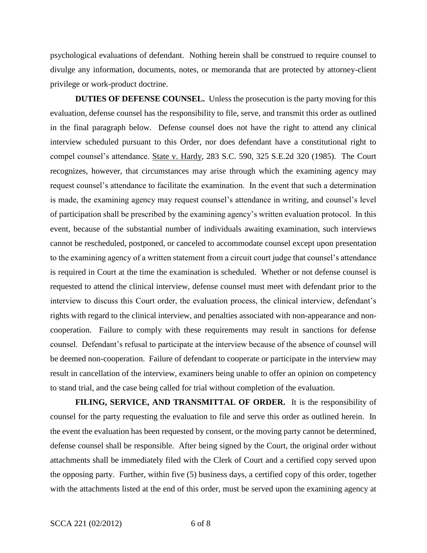psychological evaluations of defendant. Nothing herein shall be construed to require counsel to divulge any information, documents, notes, or memoranda that are protected by attorney-client privilege or work-product doctrine.

**DUTIES OF DEFENSE COUNSEL.** Unless the prosecution is the party moving for this evaluation, defense counsel has the responsibility to file, serve, and transmit this order as outlined in the final paragraph below. Defense counsel does not have the right to attend any clinical interview scheduled pursuant to this Order, nor does defendant have a constitutional right to compel counsel's attendance. State v. Hardy, 283 S.C. 590, 325 S.E.2d 320 (1985). The Court recognizes, however, that circumstances may arise through which the examining agency may request counsel's attendance to facilitate the examination. In the event that such a determination is made, the examining agency may request counsel's attendance in writing, and counsel's level of participation shall be prescribed by the examining agency's written evaluation protocol. In this event, because of the substantial number of individuals awaiting examination, such interviews cannot be rescheduled, postponed, or canceled to accommodate counsel except upon presentation to the examining agency of a written statement from a circuit court judge that counsel's attendance is required in Court at the time the examination is scheduled. Whether or not defense counsel is requested to attend the clinical interview, defense counsel must meet with defendant prior to the interview to discuss this Court order, the evaluation process, the clinical interview, defendant's rights with regard to the clinical interview, and penalties associated with non-appearance and noncooperation. Failure to comply with these requirements may result in sanctions for defense counsel. Defendant's refusal to participate at the interview because of the absence of counsel will be deemed non-cooperation. Failure of defendant to cooperate or participate in the interview may result in cancellation of the interview, examiners being unable to offer an opinion on competency to stand trial, and the case being called for trial without completion of the evaluation.

**FILING, SERVICE, AND TRANSMITTAL OF ORDER.** It is the responsibility of counsel for the party requesting the evaluation to file and serve this order as outlined herein. In the event the evaluation has been requested by consent, or the moving party cannot be determined, defense counsel shall be responsible. After being signed by the Court, the original order without attachments shall be immediately filed with the Clerk of Court and a certified copy served upon the opposing party. Further, within five (5) business days, a certified copy of this order, together with the attachments listed at the end of this order, must be served upon the examining agency at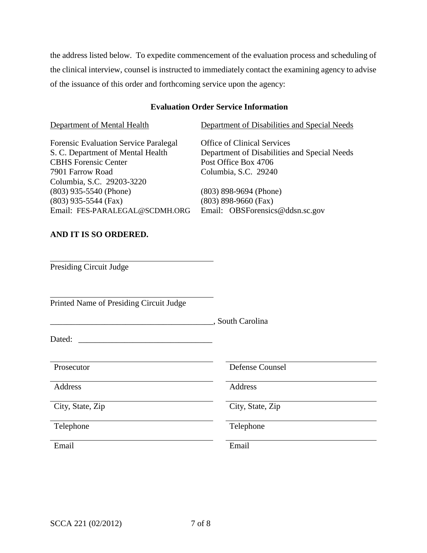the address listed below. To expedite commencement of the evaluation process and scheduling of the clinical interview, counsel is instructed to immediately contact the examining agency to advise of the issuance of this order and forthcoming service upon the agency:

## **Evaluation Order Service Information**

Department of Mental Health Department of Disabilities and Special Needs Forensic Evaluation Service Paralegal Office of Clinical Services S. C. Department of Mental Health Department of Disabilities and Special Needs CBHS Forensic Center Post Office Box 4706 7901 Farrow Road Columbia, S.C. 29240 Columbia, S.C. 29203-3220 (803) 935-5540 (Phone) (803) 898-9694 (Phone) (803) 935-5544 (Fax) (803) 898-9660 (Fax) Email: FES-PARALEGAL@SCDMH.ORG Email: OBSForensics@ddsn.sc.gov **AND IT IS SO ORDERED.** Presiding Circuit Judge Printed Name of Presiding Circuit Judge \_\_\_\_\_\_\_\_\_\_\_\_\_\_\_\_\_\_\_\_\_\_\_\_\_\_\_\_\_\_\_\_\_\_\_\_\_\_\_, South Carolina Dated: Prosecutor Defense Counsel Address **Address** Address **Address** City, State, Zip City, State, Zip Telephone Telephone Email Email